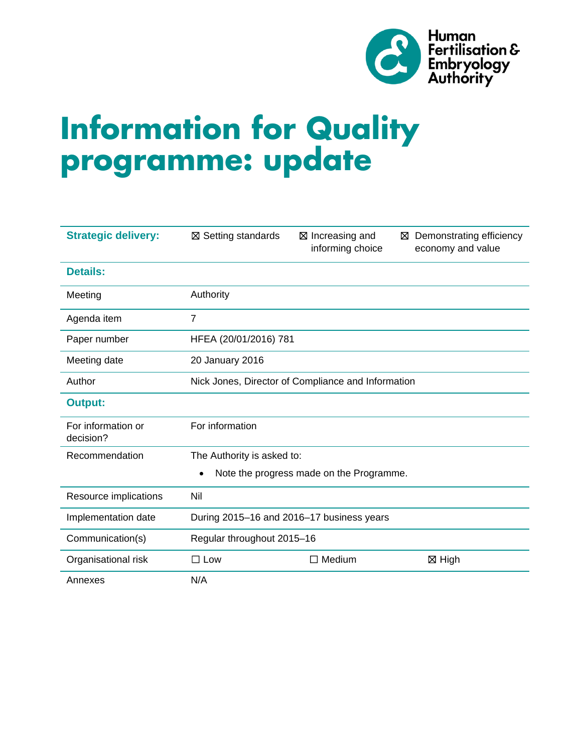

# **Information for Quality programme: update**

| <b>Strategic delivery:</b>      | <b>⊠ Setting standards</b>                         | ⊠ Increasing and<br>⊠<br>informing choice | Demonstrating efficiency<br>economy and value |  |
|---------------------------------|----------------------------------------------------|-------------------------------------------|-----------------------------------------------|--|
| <b>Details:</b>                 |                                                    |                                           |                                               |  |
| Meeting                         | Authority                                          |                                           |                                               |  |
| Agenda item                     | $\overline{7}$                                     |                                           |                                               |  |
| Paper number                    | HFEA (20/01/2016) 781                              |                                           |                                               |  |
| Meeting date                    | 20 January 2016                                    |                                           |                                               |  |
| Author                          | Nick Jones, Director of Compliance and Information |                                           |                                               |  |
| <b>Output:</b>                  |                                                    |                                           |                                               |  |
| For information or<br>decision? | For information                                    |                                           |                                               |  |
| Recommendation                  | The Authority is asked to:                         |                                           |                                               |  |
|                                 | Note the progress made on the Programme.           |                                           |                                               |  |
| Resource implications           | Nil                                                |                                           |                                               |  |
| Implementation date             | During 2015-16 and 2016-17 business years          |                                           |                                               |  |
| Communication(s)                | Regular throughout 2015-16                         |                                           |                                               |  |
| Organisational risk             | $\square$ Low                                      | $\Box$ Medium                             | ⊠ High                                        |  |
| Annexes                         | N/A                                                |                                           |                                               |  |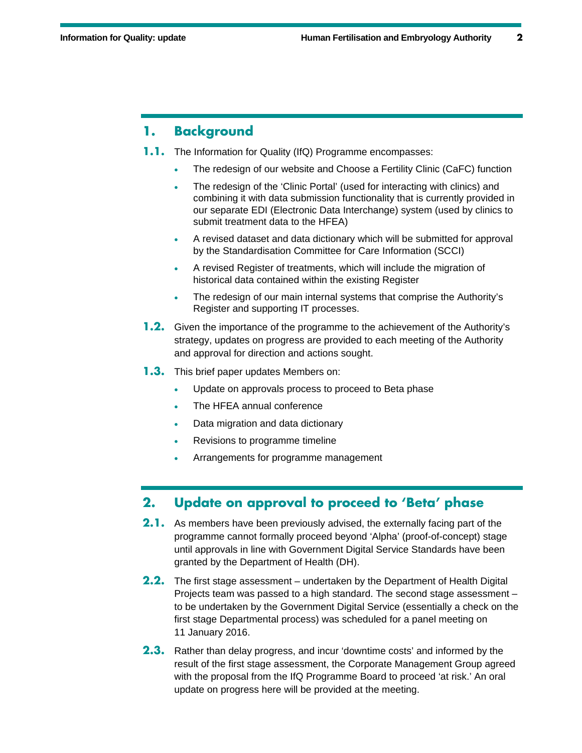### **1. Background**

- **1.1.** The Information for Quality (IfQ) Programme encompasses:
	- The redesign of our website and Choose a Fertility Clinic (CaFC) function
	- The redesign of the 'Clinic Portal' (used for interacting with clinics) and combining it with data submission functionality that is currently provided in our separate EDI (Electronic Data Interchange) system (used by clinics to submit treatment data to the HFEA)
	- A revised dataset and data dictionary which will be submitted for approval by the Standardisation Committee for Care Information (SCCI)
	- A revised Register of treatments, which will include the migration of historical data contained within the existing Register
	- The redesign of our main internal systems that comprise the Authority's Register and supporting IT processes.
- **1.2.** Given the importance of the programme to the achievement of the Authority's strategy, updates on progress are provided to each meeting of the Authority and approval for direction and actions sought.
- **1.3.** This brief paper updates Members on:
	- Update on approvals process to proceed to Beta phase
	- The HFEA annual conference
	- Data migration and data dictionary
	- Revisions to programme timeline
	- Arrangements for programme management

## **2. Update on approval to proceed to 'Beta' phase**

- **2.1.** As members have been previously advised, the externally facing part of the programme cannot formally proceed beyond 'Alpha' (proof-of-concept) stage until approvals in line with Government Digital Service Standards have been granted by the Department of Health (DH).
- **2.2.** The first stage assessment undertaken by the Department of Health Digital Projects team was passed to a high standard. The second stage assessment – to be undertaken by the Government Digital Service (essentially a check on the first stage Departmental process) was scheduled for a panel meeting on 11 January 2016.
- **2.3.** Rather than delay progress, and incur 'downtime costs' and informed by the result of the first stage assessment, the Corporate Management Group agreed with the proposal from the IfQ Programme Board to proceed 'at risk.' An oral update on progress here will be provided at the meeting.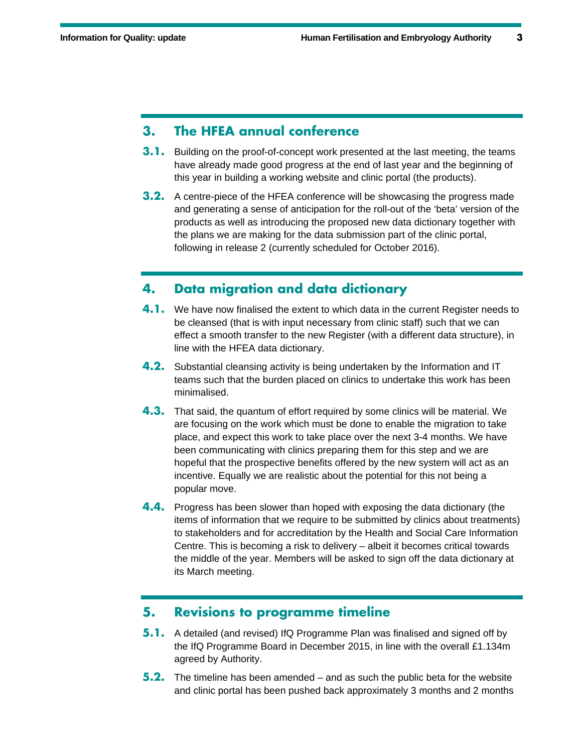#### **3. The HFEA annual conference**

- **3.1.** Building on the proof-of-concept work presented at the last meeting, the teams have already made good progress at the end of last year and the beginning of this year in building a working website and clinic portal (the products).
- **3.2.** A centre-piece of the HFEA conference will be showcasing the progress made and generating a sense of anticipation for the roll-out of the 'beta' version of the products as well as introducing the proposed new data dictionary together with the plans we are making for the data submission part of the clinic portal, following in release 2 (currently scheduled for October 2016).

#### **4. Data migration and data dictionary**

- **4.1.** We have now finalised the extent to which data in the current Register needs to be cleansed (that is with input necessary from clinic staff) such that we can effect a smooth transfer to the new Register (with a different data structure), in line with the HFEA data dictionary.
- **4.2.** Substantial cleansing activity is being undertaken by the Information and IT teams such that the burden placed on clinics to undertake this work has been minimalised.
- **4.3.** That said, the quantum of effort required by some clinics will be material. We are focusing on the work which must be done to enable the migration to take place, and expect this work to take place over the next 3-4 months. We have been communicating with clinics preparing them for this step and we are hopeful that the prospective benefits offered by the new system will act as an incentive. Equally we are realistic about the potential for this not being a popular move.
- **4.4.** Progress has been slower than hoped with exposing the data dictionary (the items of information that we require to be submitted by clinics about treatments) to stakeholders and for accreditation by the Health and Social Care Information Centre. This is becoming a risk to delivery – albeit it becomes critical towards the middle of the year. Members will be asked to sign off the data dictionary at its March meeting.

#### **5. Revisions to programme timeline**

- **5.1.** A detailed (and revised) IfQ Programme Plan was finalised and signed off by the IfQ Programme Board in December 2015, in line with the overall £1.134m agreed by Authority.
- **5.2.** The timeline has been amended and as such the public beta for the website and clinic portal has been pushed back approximately 3 months and 2 months